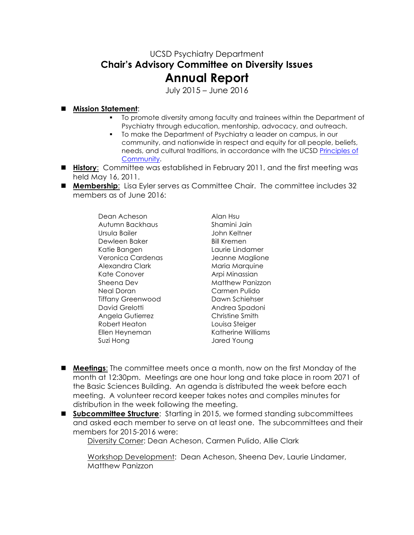## UCSD Psychiatry Department **Chair's Advisory Committee on Diversity Issues Annual Report**

July 2015 – June 2016

## n **Mission Statement**:

- § To promote diversity among faculty and trainees within the Department of Psychiatry through education, mentorship, advocacy, and outreach.
- § To make the Department of Psychiatry a leader on campus, in our community, and nationwide in respect and equity for all people, beliefs, needs, and cultural traditions, in accordance with the UCSD Principles of Community.
- **History:** Committee was established in February 2011, and the first meeting was held May 16, 2011.
- **Membership**: Lisa Eyler serves as Committee Chair. The committee includes 32 members as of June 2016:

Dean Acheson Alan Hsu Autumn Backhaus Shamini Jain Ursula Bailer John Keltner Dewleen Baker Bill Kremen Katie Bangen and Laurie Lindamer Veronica Cardenas Jeanne Maglione Alexandra Clark Maria Marquine Kate Conover **Arpi Minassian** Sheena Dev **Matthew Panizzon** Neal Doran Carmen Pulido Tiffany Greenwood Dawn Schiehser David Grelotti **Andrea Spadoni** Angela Gutierrez Christine Smith Robert Heaton Louisa Steiger Ellen Heyneman Katherine Williams Suzi Hong Jared Young

- **n Meetings:** The committee meets once a month, now on the first Monday of the month at 12:30pm. Meetings are one hour long and take place in room 2071 of the Basic Sciences Building. An agenda is distributed the week before each meeting. A volunteer record keeper takes notes and compiles minutes for distribution in the week following the meeting.
- **n** Subcommittee Structure: Starting in 2015, we formed standing subcommittees and asked each member to serve on at least one. The subcommittees and their members for 2015-2016 were:

Diversity Corner: Dean Acheson, Carmen Pulido, Allie Clark

Workshop Development: Dean Acheson, Sheena Dev, Laurie Lindamer, Matthew Panizzon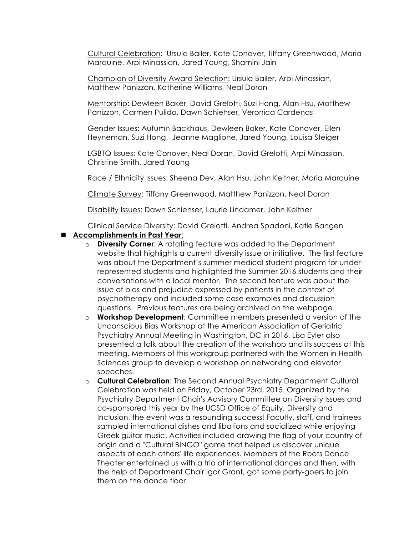Cultural Celebration: Ursula Bailer, Kate Conover, Tiffany Greenwood, Maria Marquine, Arpi Minassian, Jared Young, Shamini Jain

Champion of Diversity Award Selection: Ursula Bailer, Arpi Minassian, Matthew Panizzon, Katherine Williams, Neal Doran

Mentorship: Dewleen Baker, David Grelotti, Suzi Hong, Alan Hsu, Matthew Panizzon, Carmen Pulido, Dawn Schiehser, Veronica Cardenas

Gender Issues: Autumn Backhaus, Dewleen Baker, Kate Conover, Ellen Heyneman, Suzi Hong, Jeanne Maglione, Jared Young, Louisa Steiger

LGBTQ Issues: Kate Conover, Neal Doran, David Grelotti, Arpi Minassian, Christine Smith, Jared Young

Race / Ethnicity Issues: Sheena Dev, Alan Hsu, John Keltner, Maria Marquine

Climate Survey: Tiffany Greenwood, Matthew Panizzon, Neal Doran

Disability Issues: Dawn Schiehser, Laurie Lindamer, John Keltner

Clinical Service Diversity: David Grelotti, Andrea Spadoni, Katie Bangen

## n **Accomplishments in Past Year**:

- o **Diversity Corner**: A rotating feature was added to the Department website that highlights a current diversity issue or initiative. The first feature was about the Department's summer medical student program for underrepresented students and highlighted the Summer 2016 students and their conversations with a local mentor. The second feature was about the issue of bias and prejudice expressed by patients in the context of psychotherapy and included some case examples and discussion questions. Previous features are being archived on the webpage.
- o **Workshop Development**: Committee members presented a version of the Unconscious Bias Workshop at the American Association of Geriatric Psychiatry Annual Meeting in Washington, DC in 2016. Lisa Eyler also presented a talk about the creation of the workshop and its success at this meeting. Members of this workgroup partnered with the Women in Health Sciences group to develop a workshop on networking and elevator speeches.
- o **Cultural Celebration**: The Second Annual Psychiatry Department Cultural Celebration was held on Friday, October 23rd, 2015. Organized by the Psychiatry Department Chair's Advisory Committee on Diversity Issues and co-sponsored this year by the UCSD Office of Equity, Diversity and Inclusion, the event was a resounding success! Faculty, staff, and trainees sampled international dishes and libations and socialized while enjoying Greek guitar music. Activities included drawing the flag of your country of origin and a "Cultural BINGO" game that helped us discover unique aspects of each others' life experiences. Members of the Roots Dance Theater entertained us with a trio of international dances and then, with the help of Department Chair Igor Grant, got some party-goers to join them on the dance floor.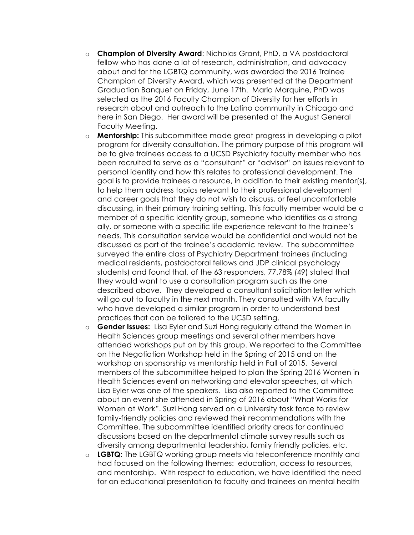- o **Champion of Diversity Award**: Nicholas Grant, PhD, a VA postdoctoral fellow who has done a lot of research, administration, and advocacy about and for the LGBTQ community, was awarded the 2016 Trainee Champion of Diversity Award, which was presented at the Department Graduation Banquet on Friday, June 17th. Maria Marquine, PhD was selected as the 2016 Faculty Champion of Diversity for her efforts in research about and outreach to the Latino community in Chicago and here in San Diego. Her award will be presented at the August General Faculty Meeting.
- o **Mentorship:** This subcommittee made great progress in developing a pilot program for diversity consultation. The primary purpose of this program will be to give trainees access to a UCSD Psychiatry faculty member who has been recruited to serve as a "consultant" or "advisor" on issues relevant to personal identity and how this relates to professional development. The goal is to provide trainees a resource, in addition to their existing mentor(s), to help them address topics relevant to their professional development and career goals that they do not wish to discuss, or feel uncomfortable discussing, in their primary training setting. This faculty member would be a member of a specific identity group, someone who identifies as a strong ally, or someone with a specific life experience relevant to the trainee's needs. This consultation service would be confidential and would not be discussed as part of the trainee's academic review. The subcommittee surveyed the entire class of Psychiatry Department trainees (including medical residents, postdoctoral fellows and JDP clinical psychology students) and found that, of the 63 responders, 77.78% (49) stated that they would want to use a consultation program such as the one described above. They developed a consultant solicitation letter which will go out to faculty in the next month. They consulted with VA faculty who have developed a similar program in order to understand best practices that can be tailored to the UCSD setting.
- o **Gender Issues:** Lisa Eyler and Suzi Hong regularly attend the Women in Health Sciences group meetings and several other members have attended workshops put on by this group. We reported to the Committee on the Negotiation Workshop held in the Spring of 2015 and on the workshop on sponsorship vs mentorship held in Fall of 2015. Several members of the subcommittee helped to plan the Spring 2016 Women in Health Sciences event on networking and elevator speeches, at which Lisa Eyler was one of the speakers. Lisa also reported to the Committee about an event she attended in Spring of 2016 about "What Works for Women at Work". Suzi Hong served on a University task force to review family-friendly policies and reviewed their recommendations with the Committee. The subcommittee identified priority areas for continued discussions based on the departmental climate survey results such as diversity among departmental leadership, family friendly policies, etc.
- o **LGBTQ**: The LGBTQ working group meets via teleconference monthly and had focused on the following themes: education, access to resources, and mentorship. With respect to education, we have identified the need for an educational presentation to faculty and trainees on mental health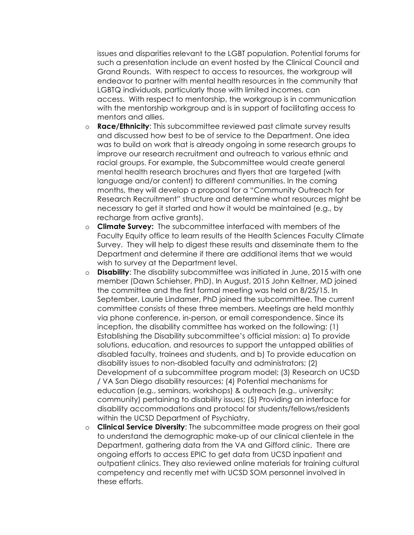issues and disparities relevant to the LGBT population. Potential forums for such a presentation include an event hosted by the Clinical Council and Grand Rounds. With respect to access to resources, the workgroup will endeavor to partner with mental health resources in the community that LGBTQ individuals, particularly those with limited incomes, can access. With respect to mentorship, the workgroup is in communication with the mentorship workgroup and is in support of facilitating access to mentors and allies.

- o **Race/Ethnicity**: This subcommittee reviewed past climate survey results and discussed how best to be of service to the Department. One idea was to build on work that is already ongoing in some research groups to improve our research recruitment and outreach to various ethnic and racial groups. For example, the Subcommittee would create general mental health research brochures and flyers that are targeted (with language and/or content) to different communities. In the coming months, they will develop a proposal for a "Community Outreach for Research Recruitment" structure and determine what resources might be necessary to get it started and how it would be maintained (e.g., by recharge from active grants).
- o **Climate Survey:** The subcommittee interfaced with members of the Faculty Equity office to learn results of the Health Sciences Faculty Climate Survey. They will help to digest these results and disseminate them to the Department and determine if there are additional items that we would wish to survey at the Department level.
- o **Disability**: The disability subcommittee was initiated in June, 2015 with one member (Dawn Schiehser, PhD). In August, 2015 John Keltner, MD joined the committee and the first formal meeting was held on 8/25/15. In September, Laurie Lindamer, PhD joined the subcommittee. The current committee consists of these three members. Meetings are held monthly via phone conference, in-person, or email correspondence. Since its inception, the disability committee has worked on the following: (1) Establishing the Disability subcommittee's official mission: a) To provide solutions, education, and resources to support the untapped abilities of disabled faculty, trainees and students, and b) To provide education on disability issues to non-disabled faculty and administrators; (2) Development of a subcommittee program model; (3) Research on UCSD / VA San Diego disability resources; (4) Potential mechanisms for education (e.g., seminars, workshops) & outreach (e.g., university; community) pertaining to disability issues; (5) Providing an interface for disability accommodations and protocol for students/fellows/residents within the UCSD Department of Psychiatry.
- o **Clinical Service Diversity**: The subcommittee made progress on their goal to understand the demographic make-up of our clinical clientele in the Department, gathering data from the VA and Gifford clinic. There are ongoing efforts to access EPIC to get data from UCSD inpatient and outpatient clinics. They also reviewed online materials for training cultural competency and recently met with UCSD SOM personnel involved in these efforts.